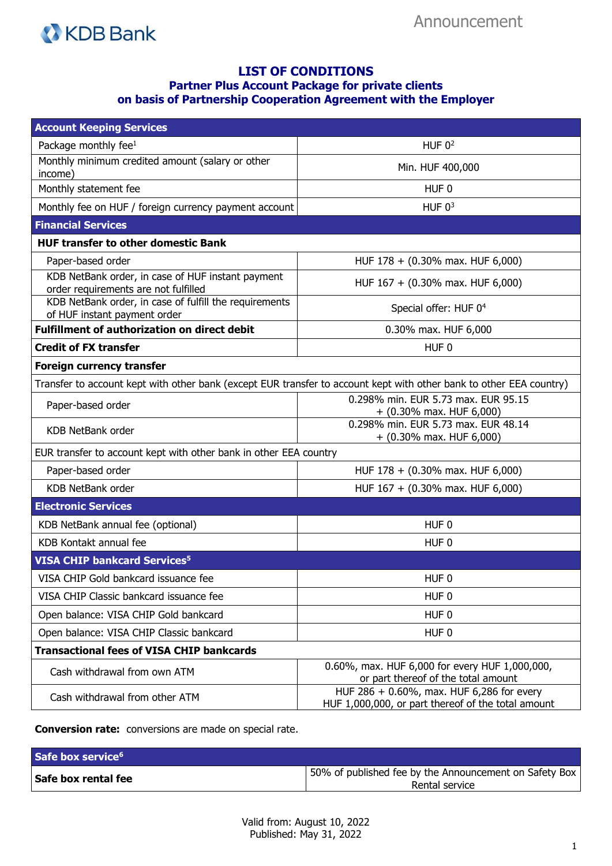

## **LIST OF CONDITIONS Partner Plus Account Package for private clients on basis of Partnership Cooperation Agreement with the Employer**

| <b>Account Keeping Services</b>                                                           |                                                                                                                     |
|-------------------------------------------------------------------------------------------|---------------------------------------------------------------------------------------------------------------------|
| Package monthly fee <sup>1</sup>                                                          | HUF $0^2$                                                                                                           |
| Monthly minimum credited amount (salary or other<br>income)                               | Min. HUF 400,000                                                                                                    |
| Monthly statement fee                                                                     | HUF <sub>0</sub>                                                                                                    |
| Monthly fee on HUF / foreign currency payment account                                     | HUF $03$                                                                                                            |
| <b>Financial Services</b>                                                                 |                                                                                                                     |
| <b>HUF transfer to other domestic Bank</b>                                                |                                                                                                                     |
| Paper-based order                                                                         | HUF $178 + (0.30\% \text{ max. HUF } 6,000)$                                                                        |
| KDB NetBank order, in case of HUF instant payment<br>order requirements are not fulfilled | HUF 167 + (0.30% max. HUF 6,000)                                                                                    |
| KDB NetBank order, in case of fulfill the requirements<br>of HUF instant payment order    | Special offer: HUF 0 <sup>4</sup>                                                                                   |
| <b>Fulfillment of authorization on direct debit</b>                                       | 0.30% max. HUF 6,000                                                                                                |
| <b>Credit of FX transfer</b>                                                              | HUF <sub>0</sub>                                                                                                    |
| <b>Foreign currency transfer</b>                                                          |                                                                                                                     |
|                                                                                           | Transfer to account kept with other bank (except EUR transfer to account kept with other bank to other EEA country) |
| Paper-based order                                                                         | 0.298% min. EUR 5.73 max. EUR 95.15<br>$+$ (0.30% max. HUF 6,000)                                                   |
| KDB NetBank order                                                                         | 0.298% min. EUR 5.73 max. EUR 48.14<br>$+$ (0.30% max. HUF 6,000)                                                   |
| EUR transfer to account kept with other bank in other EEA country                         |                                                                                                                     |
| Paper-based order                                                                         | HUF 178 + (0.30% max. HUF 6,000)                                                                                    |
| KDB NetBank order                                                                         | HUF 167 + (0.30% max. HUF 6,000)                                                                                    |
| <b>Electronic Services</b>                                                                |                                                                                                                     |
| KDB NetBank annual fee (optional)                                                         | HUF <sub>0</sub>                                                                                                    |
| KDB Kontakt annual fee                                                                    | HUF <sub>0</sub>                                                                                                    |
| <b>VISA CHIP bankcard Services<sup>5</sup></b>                                            |                                                                                                                     |
| VISA CHIP Gold bankcard issuance fee                                                      | HUF <sub>0</sub>                                                                                                    |
| VISA CHIP Classic bankcard issuance fee                                                   | HUF <sub>0</sub>                                                                                                    |
| Open balance: VISA CHIP Gold bankcard                                                     | HUF <sub>0</sub>                                                                                                    |
| Open balance: VISA CHIP Classic bankcard                                                  | HUF 0                                                                                                               |
| <b>Transactional fees of VISA CHIP bankcards</b>                                          |                                                                                                                     |
| Cash withdrawal from own ATM                                                              | 0.60%, max. HUF 6,000 for every HUF 1,000,000,<br>or part thereof of the total amount                               |
| Cash withdrawal from other ATM                                                            | HUF 286 + 0.60%, max. HUF 6,286 for every<br>HUF 1,000,000, or part thereof of the total amount                     |

**Conversion rate:** conversions are made on special rate.

| Safe box service <sup>6</sup> |                                                                          |
|-------------------------------|--------------------------------------------------------------------------|
| Safe box rental fee           | 50% of published fee by the Announcement on Safety Box<br>Rental service |